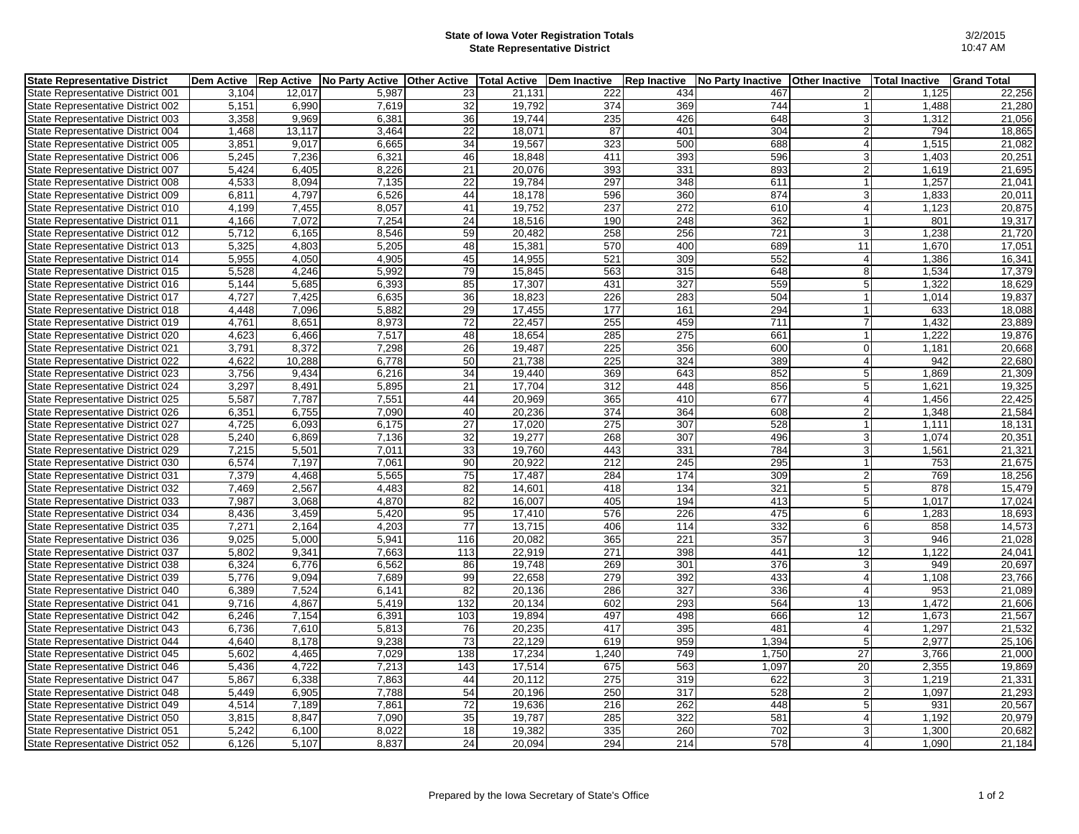## **State of Iowa Voter Registration Totals State Representative District**

| <b>State Representative District</b> | <b>Dem Active</b> | <b>Rep Active</b> | No Party Active | <b>Other Active</b> | <b>Total Active</b> | Dem Inactive | <b>Rep Inactive</b> | <b>No Party Inactive</b> | <b>Other Inactive</b> | <b>Total Inactive</b> | <b>Grand Total</b> |
|--------------------------------------|-------------------|-------------------|-----------------|---------------------|---------------------|--------------|---------------------|--------------------------|-----------------------|-----------------------|--------------------|
| State Representative District 001    | 3,104             | 12,017            | 5,987           | 23                  | 21,131              | 222          | 434                 | 467                      | $\overline{2}$        | 1,125                 | 22,256             |
| State Representative District 002    | 5,151             | 6,990             | 7,619           | 32                  | 19.792              | 374          | 369                 | 744                      |                       | 1,488                 | 21,280             |
| State Representative District 003    | 3,358             | 9,969             | 6,381           | 36                  | 19,744              | 235          | 426                 | 648                      | 3                     | 1,312                 | 21,056             |
| State Representative District 004    | 1,468             | 13,117            | 3,464           | 22                  | 18.071              | 87           | 401                 | 304                      | $\overline{2}$        | 794                   | 18,865             |
| State Representative District 005    | 3,851             | 9,017             | 6,665           | 34                  | 19,567              | 323          | 500                 | 688                      | $\overline{4}$        | 1,515                 | 21,082             |
| State Representative District 006    | 5,245             | 7,236             | 6,321           | 46                  | 18,848              | 411          | 393                 | 596                      | 3                     | 1,403                 | 20,251             |
| State Representative District 007    | 5,424             | 6,405             | 8,226           | 21                  | 20,076              | 393          | 331                 | 893                      | $\overline{2}$        | 1,619                 | 21,695             |
| State Representative District 008    | 4,533             | 8,094             | 7,135           | 22                  | 19,784              | 297          | 348                 | 611                      |                       | 1,257                 | 21,041             |
| State Representative District 009    | 6,811             | 4,797             | 6,526           | 44                  | 18,178              | 596          | 360                 | 874                      | 3                     | 1,833                 | 20,011             |
| State Representative District 010    | 4,199             | 7,455             | 8,057           | 41                  | 19,752              | 237          | $\overline{272}$    | 610                      | $\overline{4}$        | 1,123                 | 20,875             |
| State Representative District 011    | 4,166             | 7,072             | 7,254           | 24                  | 18,516              | 190          | 248                 | 362                      |                       | 801                   | 19,317             |
| State Representative District 012    | 5,712             | 6,165             | 8,546           | 59                  | 20,482              | 258          | 256                 | 721                      | 3                     | 1,238                 | 21,720             |
| State Representative District 013    | 5,325             | 4,803             | 5,205           | 48                  | 15,381              | 570          | 400                 | 689                      | 11                    | 1,670                 | 17,051             |
| State Representative District 014    | 5,955             | 4,050             | 4,905           | 45                  | 14,955              | 521          | 309                 | 552                      | $\overline{4}$        | 1,386                 | 16,341             |
| State Representative District 015    | 5,528             | 4,246             | 5,992           | 79                  | 15,845              | 563          | 315                 | 648                      | 8                     | 1,534                 | 17,379             |
| State Representative District 016    | 5,144             | 5,685             | 6,393           | 85                  | 17,307              | 431          | 327                 | 559                      | 5                     | 1,322                 | 18,629             |
| State Representative District 017    | 4,727             | 7,425             | 6,635           | $\overline{36}$     | 18,823              | 226          | 283                 | 504                      |                       | 1,014                 | 19,837             |
| State Representative District 018    | 4,448             | 7,096             | 5,882           | 29                  | 17,455              | 177          | 161                 | 294                      |                       | 633                   | 18,088             |
| State Representative District 019    | 4,761             | 8,651             | 8,973           | 72                  | 22,457              | 255          | 459                 | 711                      | $\overline{7}$        | 1,432                 | 23,889             |
| State Representative District 020    | 4,623             | 6,466             | 7,517           | 48                  | 18,654              | 285          | 275                 | 661                      | $\mathbf{1}$          | 1,222                 | 19,876             |
| State Representative District 021    | 3,791             | 8,372             | 7,298           | 26                  | 19,487              | 225          | 356                 | 600                      | $\mathbf 0$           | 1,181                 | 20,668             |
| State Representative District 022    | 4,622             | 10,288            | 6,778           | 50                  | 21,738              | 225          | 324                 | 389                      | $\overline{4}$        | 942                   | 22,680             |
| State Representative District 023    | 3,756             | 9,434             | 6,216           | 34                  | 19,440              | 369          | 643                 | 852                      | 5                     | 1,869                 | 21,309             |
| State Representative District 024    | 3,297             | 8,491             | 5,895           | 21                  | 17,704              | 312          | 448                 | 856                      | $\sqrt{5}$            | 1,621                 | 19,325             |
| State Representative District 025    | 5,587             | 7,787             | 7,551           | 44                  | 20,969              | 365          | 410                 | 677                      | $\overline{4}$        | 1,456                 | 22,425             |
| State Representative District 026    | 6,351             | 6,755             | 7,090           | 40                  | 20,236              | 374          | 364                 | 608                      | 2                     | 1,348                 | 21,584             |
| State Representative District 027    | 4,725             | 6,093             | 6,175           | 27                  | 17,020              | 275          | 307                 | 528                      | $\mathbf{1}$          | 1,111                 | 18,131             |
| State Representative District 028    | 5,240             | 6.869             | 7.136           | 32                  | 19.277              | 268          | 307                 | 496                      | 3                     | 1,074                 | 20,351             |
| State Representative District 029    | 7,215             | 5,501             | 7,011           | 33                  | 19,760              | 443          | 331                 | 784                      | 3                     | 1,561                 | 21,321             |
| State Representative District 030    | 6,574             | 7,197             | 7,061           | 90                  | 20,922              | 212          | 245                 | 295                      |                       | 753                   | 21,675             |
| State Representative District 031    | 7,379             | 4,468             | 5,565           | 75                  | 17,487              | 284          | 174                 | 309                      | $\overline{2}$        | 769                   | 18,256             |
| State Representative District 032    | 7,469             | 2,567             | 4,483           | 82                  | 14,601              | 418          | 134                 | 321                      | $5\overline{5}$       | 878                   | 15,479             |
| State Representative District 033    | 7,987             | 3,068             | 4,870           | 82                  | 16,007              | 405          | 194                 | 413                      | 5                     | 1,017                 | 17,024             |
| State Representative District 034    | 8,436             | 3,459             | 5,420           | 95                  | 17,410              | 576          | 226                 | 475                      | 6                     | 1,283                 | 18,693             |
| State Representative District 035    | 7,271             | 2,164             | 4,203           | 77                  | 13.715              | 406          | 114                 | 332                      | 6                     | 858                   | 14,573             |
| State Representative District 036    | 9,025             | 5,000             | 5,941           | 116                 | 20,082              | 365          | 221                 | 357                      | 3                     | 946                   | 21,028             |
| State Representative District 037    | 5,802             | 9,341             | 7.663           | 113                 | 22.919              | 271          | 398                 | 441                      | 12                    | 1.122                 | 24,041             |
| State Representative District 038    | 6,324             | 6,776             | 6,562           | 86                  | 19,748              | 269          | 301                 | 376                      | 3                     | 949                   | 20,697             |
| State Representative District 039    | 5,776             | 9,094             | 7,689           | 99                  | 22,658              | 279          | 392                 | 433                      | $\overline{4}$        | 1,108                 | 23,766             |
| State Representative District 040    | 6,389             | 7,524             | 6,141           | 82                  | 20,136              | 286          | 327                 | 336                      | $\overline{4}$        | 953                   | 21,089             |
| State Representative District 041    | 9,716             | 4,867             | 5,419           | 132                 | 20,134              | 602          | 293                 | 564                      | 13                    | 1,472                 | 21,606             |
| State Representative District 042    | 6,246             | 7,154             | 6,391           | 103                 | 19.894              | 497          | 498                 | 666                      | 12                    | 1,673                 | 21,567             |
| State Representative District 043    | 6,736             | 7,610             | 5,813           | 76                  | 20,235              | 417          | 395                 | 481                      | $\overline{4}$        | 1,297                 | 21,532             |
| State Representative District 044    | 4,640             | 8,178             | 9,238           | $\overline{73}$     | 22,129              | 619          | 959                 | 1,394                    | 5                     | 2,977                 | 25,106             |
| State Representative District 045    | 5,602             | 4,465             | 7,029           | 138                 | 17,234              | 1,240        | 749                 | 1,750                    | 27                    | 3,766                 | 21,000             |
| State Representative District 046    | 5,436             | 4,722             | 7,213           | 143                 | 17,514              | 675          | 563                 | 1,097                    | 20                    | 2,355                 | 19,869             |
| State Representative District 047    | 5.867             | 6.338             | 7.863           | 44                  | 20.112              | 275          | 319                 | 622                      | 3                     | 1,219                 | 21,331             |
| State Representative District 048    | 5,449             | 6,905             | 7,788           | 54                  | 20,196              | 250          | $\overline{317}$    | 528                      | $\overline{2}$        | 1,097                 | 21,293             |
| State Representative District 049    | 4,514             | 7,189             | 7,861           | 72                  | 19,636              | 216          | 262                 | 448                      | 5                     | 931                   | 20,567             |
| State Representative District 050    | 3,815             | 8,847             | 7,090           | 35                  | 19,787              | 285          | 322                 | 581                      | $\overline{4}$        | 1,192                 | 20,979             |
| State Representative District 051    | 5,242             | 6,100             | 8,022           | 18                  | 19,382              | 335          | 260                 | 702                      | 3                     | 1,300                 | 20,682             |
| State Representative District 052    | 6,126             | 5,107             | 8,837           | 24                  | 20,094              | 294          | 214                 | 578                      | 4                     | 1,090                 | 21,184             |